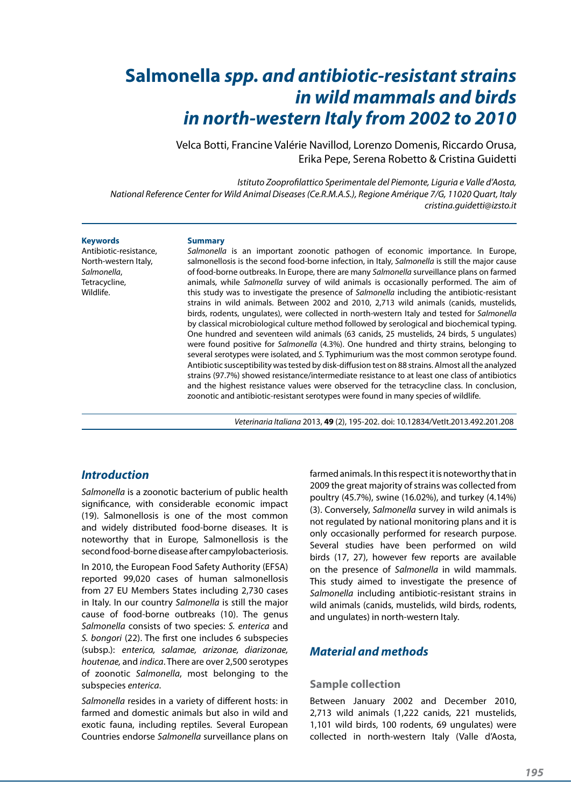# **Salmonella** *spp. and antibiotic-resistant strains in wild mammals and birds in north-western Italy from 2002 to 2010*

Velca Botti, Francine Valérie Navillod, Lorenzo Domenis, Riccardo Orusa, Erika Pepe, Serena Robetto & Cristina Guidetti

*Istituto Zooprofilattico Sperimentale del Piemonte, Liguria e Valle d'Aosta, National Reference Center for Wild Animal Diseases (Ce.R.M.A.S.), Regione Amérique 7/G, 11020 Quart, Italy cristina.guidetti@izsto.it* 

#### **Keywords**

Antibiotic-resistance, North-western Italy, *Salmonella*, Tetracycline, Wildlife.

#### **Summary**

*Salmonella* is an important zoonotic pathogen of economic importance. In Europe, salmonellosis is the second food-borne infection, in Italy, *Salmonella* is still the major cause of food-borne outbreaks. In Europe, there are many *Salmonella* surveillance plans on farmed animals, while *Salmonella* survey of wild animals is occasionally performed. The aim of this study was to investigate the presence of *Salmonella* including the antibiotic-resistant strains in wild animals. Between 2002 and 2010, 2,713 wild animals (canids, mustelids, birds, rodents, ungulates), were collected in north-western Italy and tested for *Salmonella* by classical microbiological culture method followed by serological and biochemical typing. One hundred and seventeen wild animals (63 canids, 25 mustelids, 24 birds, 5 ungulates) were found positive for *Salmonella* (4.3%). One hundred and thirty strains, belonging to several serotypes were isolated, and *S.* Typhimurium was the most common serotype found. Antibiotic susceptibility was tested by disk-diffusion test on 88 strains. Almost all the analyzed strains (97.7%) showed resistance/intermediate resistance to at least one class of antibiotics and the highest resistance values were observed for the tetracycline class. In conclusion, zoonotic and antibiotic-resistant serotypes were found in many species of wildlife.

*Veterinaria Italiana* 2013, **49** (2), 195-202. doi: 10.12834/VetIt.2013.492.201.208

### *Introduction*

*Salmonella* is a zoonotic bacterium of public health significance, with considerable economic impact (19). Salmonellosis is one of the most common and widely distributed food-borne diseases. It is noteworthy that in Europe, Salmonellosis is the second food-borne disease after campylobacteriosis.

In 2010, the European Food Safety Authority (EFSA) reported 99,020 cases of human salmonellosis from 27 EU Members States including 2,730 cases in Italy. In our country *Salmonella* is still the major cause of food-borne outbreaks (10). The genus *Salmonella* consists of two species: *S. enterica* and *S. bongori* (22). The first one includes 6 subspecies (subsp.): *enterica, salamae, arizonae, diarizonae, houtenae,* and *indica*. There are over 2,500 serotypes of zoonotic *Salmonella*, most belonging to the subspecies *enterica*.

*Salmonella* resides in a variety of different hosts: in farmed and domestic animals but also in wild and exotic fauna, including reptiles. Several European Countries endorse *Salmonella* surveillance plans on farmed animals. In this respect it is noteworthy that in 2009 the great majority of strains was collected from poultry (45.7%), swine (16.02%), and turkey (4.14%) (3). Conversely, *Salmonella* survey in wild animals is not regulated by national monitoring plans and it is only occasionally performed for research purpose. Several studies have been performed on wild birds (17, 27), however few reports are available on the presence of *Salmonella* in wild mammals. This study aimed to investigate the presence of *Salmonella* including antibiotic-resistant strains in wild animals (canids, mustelids, wild birds, rodents, and ungulates) in north-western Italy.

### *Material and methods*

#### **Sample collection**

Between January 2002 and December 2010, 2,713 wild animals (1,222 canids, 221 mustelids, 1,101 wild birds, 100 rodents, 69 ungulates) were collected in north-western Italy (Valle d'Aosta,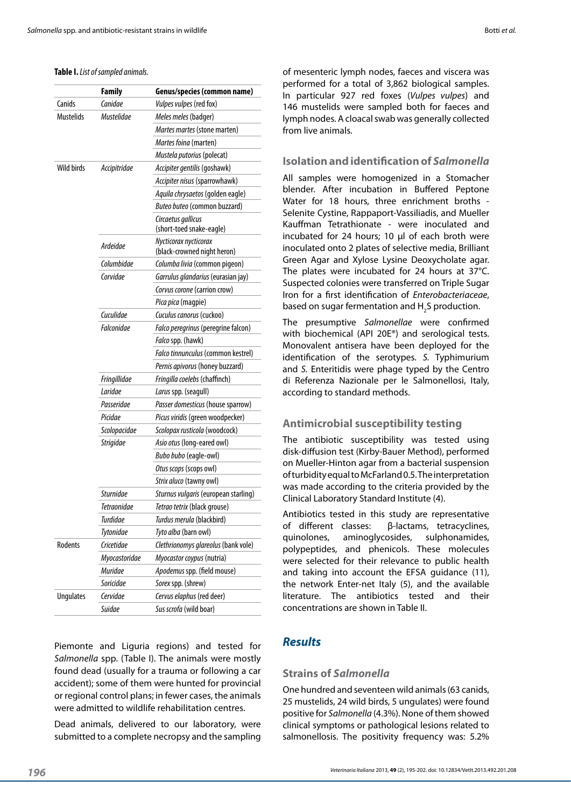#### **Table I.** *List of sampled animals.*

|                  | <b>Family</b>    | Genus/species (common name)                          |  |  |
|------------------|------------------|------------------------------------------------------|--|--|
| Canids           | Canidae          | Vulpes vulpes (red fox)                              |  |  |
| Mustelids        | Mustelidae       | Meles meles (badger)                                 |  |  |
|                  |                  | Martes martes (stone marten)                         |  |  |
|                  |                  | Martes foina (marten)                                |  |  |
|                  |                  | Mustela putorius (polecat)                           |  |  |
| Wild birds       | Accipitridae     | Accipiter gentilis (goshawk)                         |  |  |
|                  |                  | Accipiter nisus (sparrowhawk)                        |  |  |
|                  |                  | Aquila chrysaetos (golden eagle)                     |  |  |
|                  |                  | Buteo buteo (common buzzard)                         |  |  |
|                  |                  | Circaetus gallicus                                   |  |  |
|                  |                  | (short-toed snake-eagle)                             |  |  |
|                  | Ardeidae         | Nycticorax nycticorax<br>(black-crowned night heron) |  |  |
|                  | Columbidae       | Columba livia (common pigeon)                        |  |  |
|                  | Corvidae         | Garrulus glandarius (eurasian jay)                   |  |  |
|                  |                  | Corvus corone (carrion crow)                         |  |  |
|                  |                  | Pica pica (magpie)                                   |  |  |
|                  | Cuculidae        | Cuculus canorus (cuckoo)                             |  |  |
|                  | Falconidae       | Falco peregrinus (peregrine falcon)                  |  |  |
|                  |                  | Falco spp. (hawk)                                    |  |  |
|                  |                  | Falco tinnunculus (common kestrel)                   |  |  |
|                  |                  | Pernis apivorus (honey buzzard)                      |  |  |
|                  | Fringillidae     | Fringilla coelebs (chaffinch)                        |  |  |
|                  | Laridae          | Larus spp. (seagull)                                 |  |  |
|                  | Passeridae       | Passer domesticus (house sparrow)                    |  |  |
|                  | Picidae          | Picus viridis (green woodpecker)                     |  |  |
|                  | Scolopacidae     | Scolopax rusticola (woodcock)                        |  |  |
|                  | <b>Strigidae</b> | Asio otus (long-eared owl)                           |  |  |
|                  |                  | Bubo bubo (eagle-owl)                                |  |  |
|                  |                  | Otus scops (scops owl)                               |  |  |
|                  |                  | Strix aluco (tawny owl)                              |  |  |
|                  | <b>Sturnidae</b> | Sturnus vulgaris (european starling)                 |  |  |
|                  | Tetraonidae      | Tetrao tetrix (black grouse)                         |  |  |
|                  | Turdidae         | Turdus merula (blackbird)                            |  |  |
|                  | Tytonidae        | Tyto alba (barn owl)                                 |  |  |
| Rodents          | Cricetidae       | Clethrionomys glareolus (bank vole)                  |  |  |
|                  | Myocastoridae    | Myocastor coypus (nutria)                            |  |  |
|                  | <b>Muridae</b>   | Apodemus spp. (field mouse)                          |  |  |
|                  | Soricidae        | Sorex spp. (shrew)                                   |  |  |
| <b>Ungulates</b> | Cervidae         | Cervus elaphus (red deer)                            |  |  |
|                  | Suidae           | Sus scrofa (wild boar)                               |  |  |
|                  |                  |                                                      |  |  |

Piemonte and Liguria regions) and tested for *Salmonella* spp. (Table I). The animals were mostly found dead (usually for a trauma or following a car accident); some of them were hunted for provincial or regional control plans; in fewer cases, the animals were admitted to wildlife rehabilitation centres.

Dead animals, delivered to our laboratory, were submitted to a complete necropsy and the sampling of mesenteric lymph nodes, faeces and viscera was performed for a total of 3,862 biological samples. In particular 927 red foxes (*Vulpes vulpes*) and 146 mustelids were sampled both for faeces and lymph nodes. A cloacal swab was generally collected from live animals.

#### **Isolation and identification of** *Salmonella*

All samples were homogenized in a Stomacher blender. After incubation in Buffered Peptone Water for 18 hours, three enrichment broths -Selenite Cystine, Rappaport-Vassiliadis, and Mueller Kauffman Tetrathionate - were inoculated and incubated for 24 hours; 10 µl of each broth were inoculated onto 2 plates of selective media, Brilliant Green Agar and Xylose Lysine Deoxycholate agar. The plates were incubated for 24 hours at 37°C. Suspected colonies were transferred on Triple Sugar Iron for a first identification of *Enterobacteriaceae*, based on sugar fermentation and  $H_2$ S production.

The presumptive *Salmonellae* were confirmed with biochemical (API 20E®) and serological tests. Monovalent antisera have been deployed for the identification of the serotypes. *S.* Typhimurium and *S.* Enteritidis were phage typed by the Centro di Referenza Nazionale per le Salmonellosi, Italy, according to standard methods.

#### **Antimicrobial susceptibility testing**

The antibiotic susceptibility was tested using disk-diffusion test (Kirby-Bauer Method), performed on Mueller-Hinton agar from a bacterial suspension of turbidity equal to McFarland 0.5. The interpretation was made according to the criteria provided by the Clinical Laboratory Standard Institute (4).

Antibiotics tested in this study are representative of different classes: β-lactams, tetracyclines, quinolones, aminoglycosides, sulphonamides, polypeptides, and phenicols. These molecules were selected for their relevance to public health and taking into account the EFSA guidance (11), the network Enter-net Italy (5), and the available literature. The antibiotics tested and their concentrations are shown in Table II.

# *Results*

#### **Strains of** *Salmonella*

One hundred and seventeen wild animals (63 canids, 25 mustelids, 24 wild birds, 5 ungulates) were found positive for *Salmonella* (4.3%). None of them showed clinical symptoms or pathological lesions related to salmonellosis. The positivity frequency was: 5.2%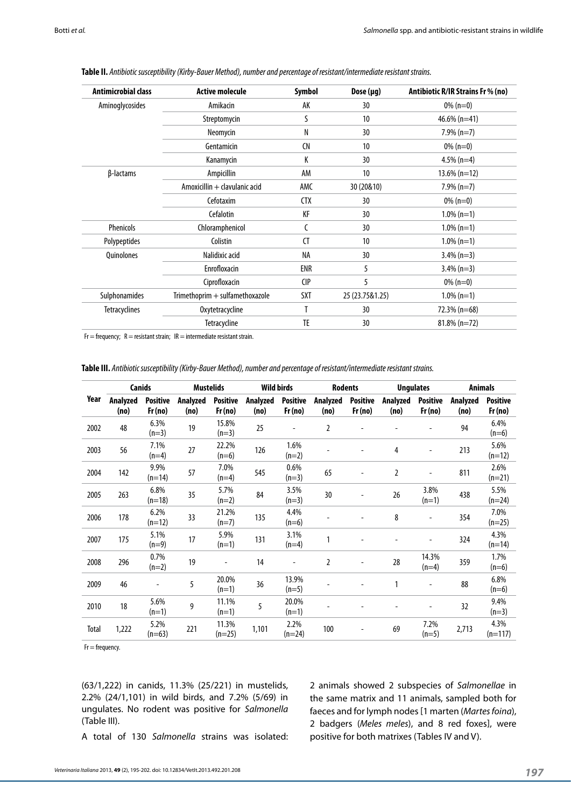| $0\%$ (n=0)<br>$46.6\%$ (n=41)<br>$7.9\%$ (n=7) |
|-------------------------------------------------|
|                                                 |
|                                                 |
|                                                 |
| $0\%$ (n=0)                                     |
| $4.5\%$ (n=4)                                   |
| $13.6\%$ (n=12)                                 |
| $7.9\%$ (n=7)                                   |
| $0\%$ (n=0)                                     |
| $1.0\%$ (n=1)                                   |
| $1.0\%$ (n=1)                                   |
| $1.0\%$ (n=1)                                   |
| $3.4\%$ (n=3)                                   |
| $3.4\%$ (n=3)                                   |
| $0\%$ (n=0)                                     |
| $1.0\%$ (n=1)                                   |
| 72.3% (n=68)                                    |
| $81.8\%$ (n=72)                                 |
|                                                 |

**Table II.** *Antibiotic susceptibility (Kirby-Bauer Method), number and percentage of resistant/intermediate resistant strains.*

 $Fr = frequency$ ;  $R = resistance$  resistant strain;  $IR = intermediate$  resistant strain.

**Table III.** *Antibiotic susceptibility (Kirby-Bauer Method), number and percentage of resistant/intermediate resistant strains.*

|              | Canids           |                           | <b>Mustelids</b> |                           | <b>Wild birds</b> |                           | <b>Rodents</b>   |                           | <b>Ungulates</b> |                           | <b>Animals</b>   |                           |
|--------------|------------------|---------------------------|------------------|---------------------------|-------------------|---------------------------|------------------|---------------------------|------------------|---------------------------|------------------|---------------------------|
| Year         | Analyzed<br>(no) | <b>Positive</b><br>Fr(no) | Analyzed<br>(no) | <b>Positive</b><br>Fr(no) | Analyzed<br>(no)  | <b>Positive</b><br>Fr(no) | Analyzed<br>(no) | <b>Positive</b><br>Fr(no) | Analyzed<br>(no) | <b>Positive</b><br>Fr(no) | Analyzed<br>(no) | <b>Positive</b><br>Fr(no) |
| 2002         | 48               | 6.3%<br>$(n=3)$           | 19               | 15.8%<br>$(n=3)$          | 25                | $\overline{a}$            | $\overline{2}$   |                           |                  |                           | 94               | 6.4%<br>$(n=6)$           |
| 2003         | 56               | 7.1%<br>$(n=4)$           | 27               | 22.2%<br>$(n=6)$          | 126               | 1.6%<br>$(n=2)$           |                  |                           | 4                |                           | 213              | 5.6%<br>$(n=12)$          |
| 2004         | 142              | 9.9%<br>$(n=14)$          | 57               | 7.0%<br>$(n=4)$           | 545               | 0.6%<br>$(n=3)$           | 65               |                           | 2                |                           | 811              | 2.6%<br>$(n=21)$          |
| 2005         | 263              | 6.8%<br>$(n=18)$          | 35               | 5.7%<br>$(n=2)$           | 84                | 3.5%<br>$(n=3)$           | 30               |                           | 26               | 3.8%<br>$(n=1)$           | 438              | 5.5%<br>$(n=24)$          |
| 2006         | 178              | 6.2%<br>$(n=12)$          | 33               | 21.2%<br>$(n=7)$          | 135               | 4.4%<br>$(n=6)$           |                  |                           | 8                | $\overline{\phantom{0}}$  | 354              | 7.0%<br>$(n=25)$          |
| 2007         | 175              | 5.1%<br>$(n=9)$           | 17               | 5.9%<br>$(n=1)$           | 131               | 3.1%<br>$(n=4)$           |                  |                           |                  |                           | 324              | 4.3%<br>$(n=14)$          |
| 2008         | 296              | 0.7%<br>$(n=2)$           | 19               |                           | 14                | $\overline{\phantom{a}}$  | $\overline{2}$   |                           | 28               | 14.3%<br>$(n=4)$          | 359              | 1.7%<br>$(n=6)$           |
| 2009         | 46               | $\overline{a}$            | 5                | 20.0%<br>$(n=1)$          | 36                | 13.9%<br>$(n=5)$          |                  |                           | 1                |                           | 88               | 6.8%<br>$(n=6)$           |
| 2010         | 18               | 5.6%<br>$(n=1)$           | 9                | 11.1%<br>$(n=1)$          | 5                 | 20.0%<br>$(n=1)$          |                  |                           |                  |                           | 32               | 9.4%<br>$(n=3)$           |
| <b>Total</b> | 1,222            | 5.2%<br>$(n=63)$          | 221              | 11.3%<br>$(n=25)$         | 1,101             | 2.2%<br>$(n=24)$          | 100              |                           | 69               | 7.2%<br>$(n=5)$           | 2,713            | 4.3%<br>$(n=117)$         |

 $Fr = frequency$ .

(63/1,222) in canids, 11.3% (25/221) in mustelids, 2.2% (24/1,101) in wild birds, and 7.2% (5/69) in ungulates. No rodent was positive for *Salmonella* (Table III).

2 animals showed 2 subspecies of *Salmonellae* in the same matrix and 11 animals, sampled both for faeces and for lymph nodes [1 marten (*Martes foina*), 2 badgers (*Meles meles*), and 8 red foxes], were positive for both matrixes (Tables IV and V).

A total of 130 *Salmonella* strains was isolated: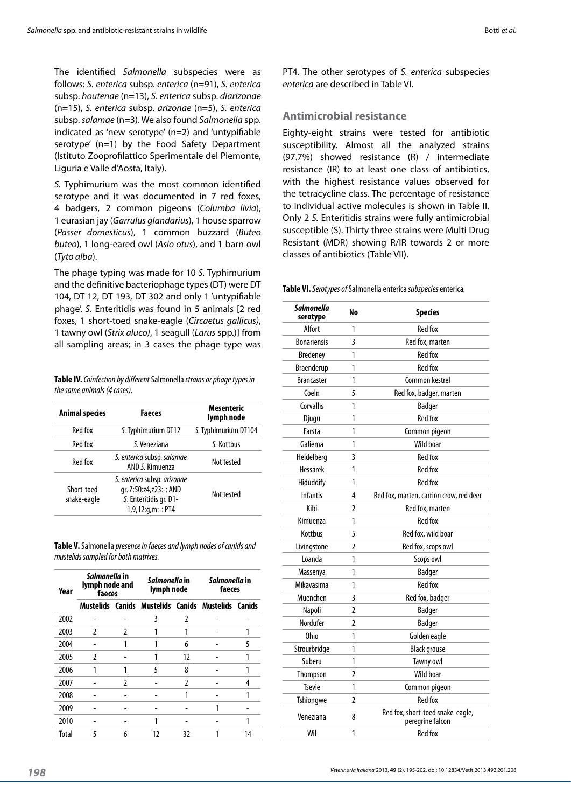The identified *Salmonella* subspecies were as follows: *S. enterica* subsp. *enterica* (n=91), *S. enterica* subsp. *houtenae* (n=13), *S. enterica* subsp. *diarizonae* (n=15), *S. enterica* subsp. *arizonae* (n=5), *S. enterica* subsp. *salamae* (n=3). We also found *Salmonella* spp. indicated as 'new serotype' (n=2) and 'untypifiable serotype' (n=1) by the Food Safety Department (Istituto Zooprofilattico Sperimentale del Piemonte, Liguria e Valle d'Aosta, Italy).

*S.* Typhimurium was the most common identified serotype and it was documented in 7 red foxes, 4 badgers, 2 common pigeons (*Columba livia*), 1 eurasian jay (*Garrulus glandarius*), 1 house sparrow (*Passer domesticus*), 1 common buzzard (*Buteo buteo*), 1 long-eared owl (*Asio otus*), and 1 barn owl (*Tyto alba*).

The phage typing was made for 10 *S.* Typhimurium and the definitive bacteriophage types (DT) were DT 104, DT 12, DT 193, DT 302 and only 1 'untypifiable phage'. *S.* Enteritidis was found in 5 animals [2 red foxes, 1 short-toed snake-eagle (*Circaetus gallicus)*, 1 tawny owl (*Strix aluco)*, 1 seagull (*Larus* spp.)] from all sampling areas; in 3 cases the phage type was

| Table IV. Coinfection by different Salmonella strains or phage types in |  |
|-------------------------------------------------------------------------|--|
| the same animals (4 cases).                                             |  |

| <b>Animal species</b>     | <b>Faeces</b>                                                                                            | Mesenteric<br>lymph node |  |
|---------------------------|----------------------------------------------------------------------------------------------------------|--------------------------|--|
| Red fox                   | S. Typhimurium DT12                                                                                      | S. Typhimurium DT104     |  |
| Red fox                   | S. Veneziana                                                                                             | S. Kottbus               |  |
| Red fox                   | S. enterica subsp. salamae<br>AND S. Kimuenza                                                            | Not tested               |  |
| Short-toed<br>snake-eagle | S. enterica subsp. arizonae<br>gr. Z:50:z4,z23: -: AND<br>S. Enteritidis gr. D1-<br>$1,9,12:q,m:-$ : PT4 | Not tested               |  |

**Table V.**Salmonella *presence in faeces and lymph nodes of canids and mustelids sampled for both matrixes.*

| Year  | <i>Salmonella</i> in<br>lymph node and<br>faeces |   | <i>Salmonella</i> in<br>lymph node                 |    | Salmonella in<br>faeces |    |  |
|-------|--------------------------------------------------|---|----------------------------------------------------|----|-------------------------|----|--|
|       |                                                  |   | Mustelids Canids Mustelids Canids Mustelids Canids |    |                         |    |  |
| 2002  |                                                  |   | 3                                                  | 2  |                         |    |  |
| 2003  | 2                                                | 2 |                                                    |    |                         | 1  |  |
| 2004  |                                                  |   |                                                    | 6  |                         | 5  |  |
| 2005  | 2                                                |   |                                                    | 12 |                         |    |  |
| 2006  | 1                                                |   | 5                                                  | 8  |                         | 1  |  |
| 2007  |                                                  | 2 |                                                    | 2  |                         | 4  |  |
| 2008  |                                                  |   |                                                    |    |                         | 1  |  |
| 2009  |                                                  |   |                                                    |    |                         |    |  |
| 2010  |                                                  |   |                                                    |    |                         |    |  |
| Total | 5                                                | 6 | 17                                                 | 32 |                         | 14 |  |

PT4. The other serotypes of *S. enterica* subspecies *enterica* are described in Table VI.

#### **Antimicrobial resistance**

Eighty-eight strains were tested for antibiotic susceptibility. Almost all the analyzed strains (97.7%) showed resistance (R) / intermediate resistance (IR) to at least one class of antibiotics, with the highest resistance values observed for the tetracycline class. The percentage of resistance to individual active molecules is shown in Table II. Only 2 *S.* Enteritidis strains were fully antimicrobial susceptible (S). Thirty three strains were Multi Drug Resistant (MDR) showing R/IR towards 2 or more classes of antibiotics (Table VII).

**Table VI.** *Serotypes of* Salmonella enterica *subspecies* enterica*.*

| <b>Salmonella</b><br>serotype | No             | <b>Species</b>                                       |
|-------------------------------|----------------|------------------------------------------------------|
| Alfort                        | 1              | Red fox                                              |
| <b>Bonariensis</b>            | 3              | Red fox, marten                                      |
| <b>Bredeney</b>               | 1              | <b>Red fox</b>                                       |
| Braenderup                    | 1              | <b>Red fox</b>                                       |
| <b>Brancaster</b>             | 1              | Common kestrel                                       |
| Coeln                         | 5              | Red fox, badger, marten                              |
| Corvallis                     | 1              | <b>Badger</b>                                        |
| Djugu                         | 1              | Red fox                                              |
| Farsta                        | 1              | Common pigeon                                        |
| Galiema                       | 1              | <b>Wild boar</b>                                     |
| Heidelberg                    | 3              | <b>Red fox</b>                                       |
| <b>Hessarek</b>               | 1              | <b>Red fox</b>                                       |
| Hiduddify                     | 1              | Red fox                                              |
| <b>Infantis</b>               | 4              | Red fox, marten, carrion crow, red deer              |
| Kibi                          | $\overline{2}$ | Red fox, marten                                      |
| Kimuenza                      | 1              | Red fox                                              |
| Kottbus                       | 5              | Red fox, wild boar                                   |
| Livingstone                   | 2              | Red fox, scops owl                                   |
| Loanda                        | 1              | Scops owl                                            |
| Massenya                      | 1              | Badger                                               |
| Mikavasima                    | 1              | <b>Red fox</b>                                       |
| Muenchen                      | 3              | Red fox, badger                                      |
| Napoli                        | 2              | Badger                                               |
| Nordufer                      | 2              | Badger                                               |
| Ohio                          | 1              | Golden eagle                                         |
| Strourbridge                  | 1              | <b>Black grouse</b>                                  |
| Suberu                        | 1              | Tawny owl                                            |
| Thompson                      | 2              | Wild boar                                            |
| <b>Tsevie</b>                 | 1              | Common pigeon                                        |
| Tshiongwe                     | $\overline{2}$ | <b>Red fox</b>                                       |
| Veneziana                     | 8              | Red fox, short-toed snake-eagle,<br>peregrine falcon |
| Wil                           | 1              | <b>Red fox</b>                                       |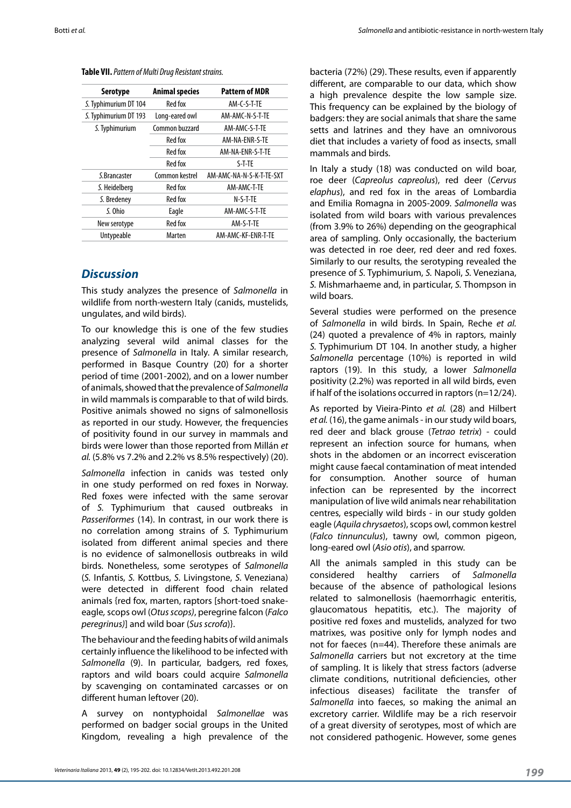**Table VII.** *Pattern of Multi Drug Resistant strains.*

| Serotype              | <b>Animal species</b> | <b>Pattern of MDR</b>    |
|-----------------------|-----------------------|--------------------------|
| S. Typhimurium DT 104 | Red fox               | AM-C-S-T-TE              |
| S. Typhimurium DT 193 | Long-eared owl        | AM-AMC-N-S-T-TE          |
| S. Typhimurium        | Common buzzard        | AM-AMC-S-T-TE            |
|                       | Red fox               | AM-NA-ENR-S-TE           |
|                       | Red fox               | AM-NA-ENR-S-T-TE         |
|                       | Red fox               | S-T-TE                   |
| S. Brancaster         | Common kestrel        | AM-AMC-NA-N-S-K-T-TE-SXT |
| S. Heidelberg         | Red fox               | AM-AMC-T-TE              |
| S. Bredeney           | Red fox               | N-S-T-TE                 |
| S. Ohio               | Eagle                 | AM-AMC-S-T-TE            |
| New serotype          | Red fox               | AM-S-T-TE                |
| Untypeable            | Marten                | AM-AMC-KF-ENR-T-TE       |
|                       |                       |                          |

# *Discussion*

This study analyzes the presence of *Salmonella* in wildlife from north-western Italy (canids, mustelids, ungulates, and wild birds).

To our knowledge this is one of the few studies analyzing several wild animal classes for the presence of *Salmonella* in Italy. A similar research, performed in Basque Country (20) for a shorter period of time (2001-2002), and on a lower number of animals, showed that the prevalence of *Salmonella* in wild mammals is comparable to that of wild birds. Positive animals showed no signs of salmonellosis as reported in our study. However, the frequencies of positivity found in our survey in mammals and birds were lower than those reported from Millán *et al.* (5.8% vs 7.2% and 2.2% vs 8.5% respectively) (20).

*Salmonella* infection in canids was tested only in one study performed on red foxes in Norway. Red foxes were infected with the same serovar of *S.* Typhimurium that caused outbreaks in *Passeriformes* (14). In contrast, in our work there is no correlation among strains of *S.* Typhimurium isolated from different animal species and there is no evidence of salmonellosis outbreaks in wild birds. Nonetheless, some serotypes of *Salmonella* (*S.* Infantis, *S.* Kottbus, *S.* Livingstone, *S.* Veneziana) were detected in different food chain related animals {red fox, marten, raptors [short-toed snakeeagle*,* scops owl (*Otus scops)*, peregrine falcon (*Falco peregrinus)*] and wild boar (*Sus scrofa*)}.

The behaviour and the feeding habits of wild animals certainly influence the likelihood to be infected with *Salmonella* (9). In particular, badgers, red foxes, raptors and wild boars could acquire *Salmonella* by scavenging on contaminated carcasses or on different human leftover (20).

A survey on nontyphoidal *Salmonellae* was performed on badger social groups in the United Kingdom, revealing a high prevalence of the

bacteria (72%) (29). These results, even if apparently different, are comparable to our data, which show a high prevalence despite the low sample size. This frequency can be explained by the biology of badgers: they are social animals that share the same setts and latrines and they have an omnivorous diet that includes a variety of food as insects, small mammals and birds.

In Italy a study (18) was conducted on wild boar, roe deer (*Capreolus capreolus*), red deer (*Cervus elaphus*), and red fox in the areas of Lombardia and Emilia Romagna in 2005-2009. *Salmonella* was isolated from wild boars with various prevalences (from 3.9% to 26%) depending on the geographical area of sampling. Only occasionally, the bacterium was detected in roe deer, red deer and red foxes. Similarly to our results, the serotyping revealed the presence of *S.* Typhimurium, *S.* Napoli, *S.* Veneziana, *S.* Mishmarhaeme and, in particular, *S.* Thompson in wild boars.

Several studies were performed on the presence of *Salmonella* in wild birds. In Spain, Reche *et al.* (24) quoted a prevalence of 4% in raptors, mainly *S.* Typhimurium DT 104. In another study, a higher *Salmonella* percentage (10%) is reported in wild raptors (19). In this study, a lower *Salmonella* positivity (2.2%) was reported in all wild birds, even if half of the isolations occurred in raptors (n=12/24).

As reported by Vieira-Pinto *et al.* (28) and Hilbert *et al.* (16), the game animals - in our study wild boars, red deer and black grouse (*Tetrao tetrix*) - could represent an infection source for humans, when shots in the abdomen or an incorrect evisceration might cause faecal contamination of meat intended for consumption. Another source of human infection can be represented by the incorrect manipulation of live wild animals near rehabilitation centres, especially wild birds - in our study golden eagle (*Aquila chrysaetos*), scops owl, common kestrel (*Falco tinnunculus*), tawny owl, common pigeon, long-eared owl (*Asio otis*), and sparrow.

All the animals sampled in this study can be considered healthy carriers of *Salmonella* because of the absence of pathological lesions related to salmonellosis (haemorrhagic enteritis, glaucomatous hepatitis, etc.). The majority of positive red foxes and mustelids, analyzed for two matrixes, was positive only for lymph nodes and not for faeces (n=44). Therefore these animals are *Salmonella* carriers but not excretory at the time of sampling. It is likely that stress factors (adverse climate conditions, nutritional deficiencies, other infectious diseases) facilitate the transfer of *Salmonella* into faeces, so making the animal an excretory carrier. Wildlife may be a rich reservoir of a great diversity of serotypes, most of which are not considered pathogenic. However, some genes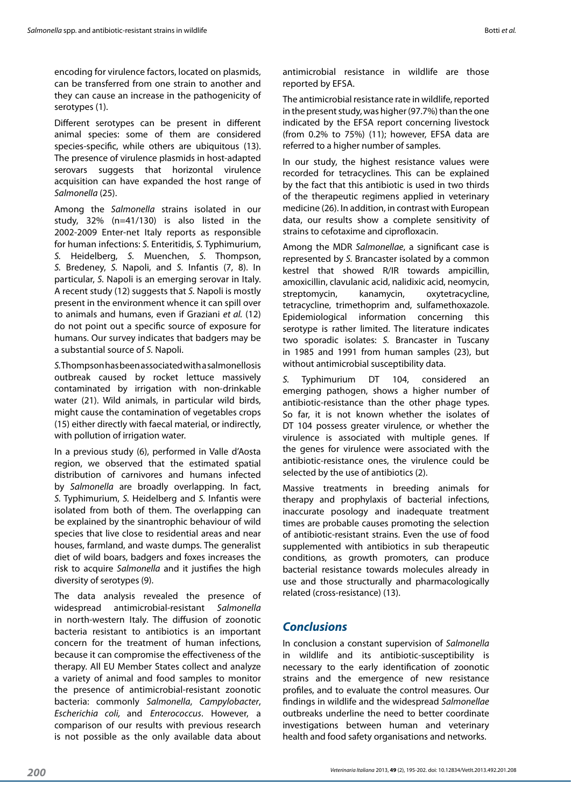encoding for virulence factors, located on plasmids, can be transferred from one strain to another and they can cause an increase in the pathogenicity of serotypes (1).

Different serotypes can be present in different animal species: some of them are considered species-specific, while others are ubiquitous (13). The presence of virulence plasmids in host-adapted serovars suggests that horizontal virulence acquisition can have expanded the host range of *Salmonella* (25).

Among the *Salmonella* strains isolated in our study, 32% (n=41/130) is also listed in the 2002-2009 Enter-net Italy reports as responsible for human infections: *S.* Enteritidis, *S.* Typhimurium, *S.* Heidelberg, *S.* Muenchen, *S.* Thompson, *S.* Bredeney, *S.* Napoli, and *S.* Infantis (7, 8). In particular, *S.* Napoli is an emerging serovar in Italy. A recent study (12) suggests that *S.* Napoli is mostly present in the environment whence it can spill over to animals and humans, even if Graziani *et al.* (12) do not point out a specific source of exposure for humans. Our survey indicates that badgers may be a substantial source of *S.* Napoli.

*S.* Thompson has been associated with a salmonellosis outbreak caused by rocket lettuce massively contaminated by irrigation with non-drinkable water (21). Wild animals, in particular wild birds, might cause the contamination of vegetables crops (15) either directly with faecal material, or indirectly, with pollution of irrigation water.

In a previous study (6), performed in Valle d'Aosta region, we observed that the estimated spatial distribution of carnivores and humans infected by *Salmonella* are broadly overlapping. In fact, *S.* Typhimurium, *S.* Heidelberg and *S.* Infantis were isolated from both of them. The overlapping can be explained by the sinantrophic behaviour of wild species that live close to residential areas and near houses, farmland, and waste dumps. The generalist diet of wild boars, badgers and foxes increases the risk to acquire *Salmonella* and it justifies the high diversity of serotypes (9).

The data analysis revealed the presence of widespread antimicrobial-resistant *Salmonella* in north-western Italy. The diffusion of zoonotic bacteria resistant to antibiotics is an important concern for the treatment of human infections, because it can compromise the effectiveness of the therapy. All EU Member States collect and analyze a variety of animal and food samples to monitor the presence of antimicrobial-resistant zoonotic bacteria: commonly *Salmonella*, *Campylobacter*, *Escherichia coli,* and *Enterococcus*. However, a comparison of our results with previous research is not possible as the only available data about The antimicrobial resistance rate in wildlife, reported in the present study, was higher (97.7%) than the one indicated by the EFSA report concerning livestock (from 0.2% to 75%) (11); however, EFSA data are referred to a higher number of samples.

In our study, the highest resistance values were recorded for tetracyclines. This can be explained by the fact that this antibiotic is used in two thirds of the therapeutic regimens applied in veterinary medicine (26). In addition, in contrast with European data, our results show a complete sensitivity of strains to cefotaxime and ciprofloxacin.

Among the MDR *Salmonellae*, a significant case is represented by *S.* Brancaster isolated by a common kestrel that showed R/IR towards ampicillin, amoxicillin, clavulanic acid, nalidixic acid, neomycin, streptomycin, kanamycin, oxytetracycline, tetracycline, trimethoprim and, sulfamethoxazole. Epidemiological information concerning this serotype is rather limited. The literature indicates two sporadic isolates: *S.* Brancaster in Tuscany in 1985 and 1991 from human samples (23), but without antimicrobial susceptibility data.

*S.* Typhimurium DT 104, considered emerging pathogen, shows a higher number of antibiotic-resistance than the other phage types. So far, it is not known whether the isolates of DT 104 possess greater virulence, or whether the virulence is associated with multiple genes. If the genes for virulence were associated with the antibiotic-resistance ones, the virulence could be selected by the use of antibiotics (2).

Massive treatments in breeding animals for therapy and prophylaxis of bacterial infections, inaccurate posology and inadequate treatment times are probable causes promoting the selection of antibiotic-resistant strains. Even the use of food supplemented with antibiotics in sub therapeutic conditions, as growth promoters, can produce bacterial resistance towards molecules already in use and those structurally and pharmacologically related (cross-resistance) (13).

# *Conclusions*

In conclusion a constant supervision of *Salmonella* in wildlife and its antibiotic-susceptibility is necessary to the early identification of zoonotic strains and the emergence of new resistance profiles, and to evaluate the control measures. Our findings in wildlife and the widespread *Salmonellae* outbreaks underline the need to better coordinate investigations between human and veterinary health and food safety organisations and networks.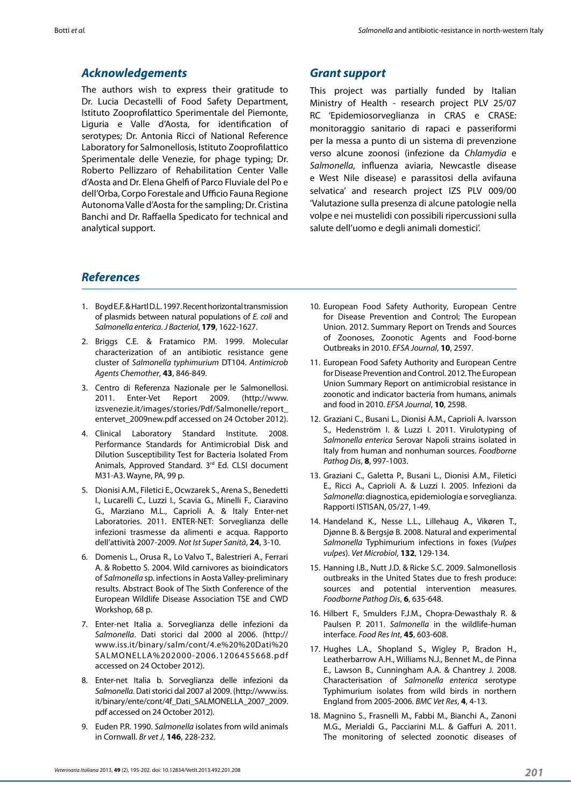# *Acknowledgements*

The authors wish to express their gratitude to Dr. Lucia Decastelli of Food Safety Department, Istituto Zooprofilattico Sperimentale del Piemonte, Liguria e Valle d'Aosta, for identification of serotypes; Dr. Antonia Ricci of National Reference Laboratory for Salmonellosis, Istituto Zooprofilattico Sperimentale delle Venezie, for phage typing; Dr. Roberto Pellizzaro of Rehabilitation Center Valle d'Aosta and Dr. Elena Ghelfi of Parco Fluviale del Po e dell'Orba, Corpo Forestale and Ufficio Fauna Regione Autonoma Valle d'Aosta for the sampling; Dr. Cristina Banchi and Dr. Raffaella Spedicato for technical and analytical support.

## *Grant support*

This project was partially funded by Italian Ministry of Health - research project PLV 25/07 RC 'Epidemiosorveglianza in CRAS e CRASE: monitoraggio sanitario di rapaci e passeriformi per la messa a punto di un sistema di prevenzione verso alcune zoonosi (infezione da *Chlamydia* e *Salmonella*, influenza aviaria, Newcastle disease e West Nile disease) e parassitosi della avifauna selvatica' and research project IZS PLV 009/00 'Valutazione sulla presenza di alcune patologie nella volpe e nei mustelidi con possibili ripercussioni sulla salute dell'uomo e degli animali domestici'.

# *References*

- 1. Boyd E.F. & Hartl D.L. 1997. Recent horizontal transmission of plasmids between natural populations of *E. coli* and *Salmonella enterica*. *J Bacteriol*, **179**, 1622-1627.
- 2. Briggs C.E. & Fratamico P.M. 1999. Molecular characterization of an antibiotic resistance gene cluster of *Salmonella typhimurium* DT104. *Antimicrob Agents Chemother*, **43**, 846-849.
- 3. Centro di Referenza Nazionale per le Salmonellosi. 2011. Enter-Vet Report 2009. (http://www. izsvenezie.it/images/stories/Pdf/Salmonelle/report\_ entervet\_2009new.pdf accessed on 24 October 2012).
- 4. Clinical Laboratory Standard Institute. 2008. Performance Standards for Antimicrobial Disk and Dilution Susceptibility Test for Bacteria Isolated From Animals, Approved Standard. 3rd Ed. CLSI document M31-A3. Wayne, PA, 99 p.
- 5. Dionisi A.M., Filetici E., Ocwzarek S., Arena S., Benedetti I., Lucarelli C., Luzzi I., Scavia G., Minelli F., Ciaravino G., Marziano M.L., Caprioli A. & Italy Enter-net Laboratories. 2011. ENTER-NET: Sorveglianza delle infezioni trasmesse da alimenti e acqua. Rapporto dell'attività 2007-2009. *Not Ist Super Sanità*, **24**, 3-10.
- 6. Domenis L., Orusa R., Lo Valvo T., Balestrieri A., Ferrari A. & Robetto S. 2004. Wild carnivores as bioindicators of *Salmonella* sp. infections in Aosta Valley-preliminary results. Abstract Book of The Sixth Conference of the European Wildlife Disease Association TSE and CWD Workshop, 68 p.
- 7. Enter-net Italia a. Sorveglianza delle infezioni da *Salmonella*. Dati storici dal 2000 al 2006. (http:// www.iss.it/binary/salm/cont/4.e%20%20Dati%20 SALMONELLA%202000-2006.1206455668.pdf accessed on 24 October 2012).
- 8. Enter-net Italia b. Sorveglianza delle infezioni da *Salmonella*. Dati storici dal 2007 al 2009. (http://www.iss. it/binary/ente/cont/4f\_Dati\_SALMONELLA\_2007\_2009. pdf accessed on 24 October 2012).
- 9. Euden P.R. 1990. *Salmonella* isolates from wild animals in Cornwall. *Br vet J*, **146**, 228-232.
- 10. European Food Safety Authority, European Centre for Disease Prevention and Control; The European Union. 2012. Summary Report on Trends and Sources of Zoonoses, Zoonotic Agents and Food-borne Outbreaks in 2010. *EFSA Journal*, **10**, 2597.
- 11. European Food Safety Authority and European Centre for Disease Prevention and Control. 2012. The European Union Summary Report on antimicrobial resistance in zoonotic and indicator bacteria from humans, animals and food in 2010. *EFSA Journal*, **10**, 2598.
- 12. Graziani C., Busani L., Dionisi A.M., Caprioli A. Ivarsson S., Hedenström I. & Luzzi I. 2011. Virulotyping of *Salmonella enterica* Serovar Napoli strains isolated in Italy from human and nonhuman sources. *Foodborne Pathog Dis*, **8**, 997-1003.
- 13. Graziani C., Galetta P., Busani L., Dionisi A.M., Filetici E., Ricci A., Caprioli A. & Luzzi I. 2005. Infezioni da *Salmonella*: diagnostica, epidemiologia e sorveglianza. Rapporti ISTISAN, 05/27, 1-49.
- 14. Handeland K., Nesse L.L., Lillehaug A., Vikøren T., Djønne B. & Bergsjø B. 2008. Natural and experimental *Salmonella* Typhimurium infections in foxes (*Vulpes vulpes*). *Vet Microbiol*, **132**, 129-134.
- 15. Hanning I.B., Nutt J.D. & Ricke S.C. 2009. Salmonellosis outbreaks in the United States due to fresh produce: sources and potential intervention measures. *Foodborne Pathog Dis*, **6**, 635-648.
- 16. Hilbert F., Smulders F.J.M., Chopra-Dewasthaly R. & Paulsen P. 2011. *Salmonella* in the wildlife-human interface. *Food Res Int*, **45**, 603-608.
- 17. Hughes L.A., Shopland S., Wigley P., Bradon H., Leatherbarrow A.H., Williams N.J., Bennet M., de Pinna E., Lawson B., Cunningham A.A. & Chantrey J. 2008. Characterisation of *Salmonella enterica* serotype Typhimurium isolates from wild birds in northern England from 2005-2006. *BMC Vet Res*, **4**, 4-13.
- 18. Magnino S., Frasnelli M., Fabbi M., Bianchi A., Zanoni M.G., Merialdi G., Pacciarini M.L. & Gaffuri A. 2011. The monitoring of selected zoonotic diseases of